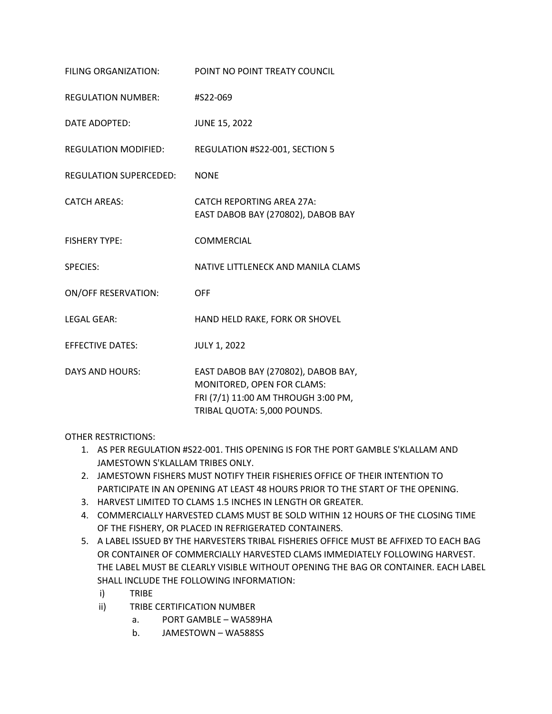| FILING ORGANIZATION:          | POINT NO POINT TREATY COUNCIL                                                                                                           |
|-------------------------------|-----------------------------------------------------------------------------------------------------------------------------------------|
| <b>REGULATION NUMBER:</b>     | #S22-069                                                                                                                                |
| DATE ADOPTED:                 | <b>JUNE 15, 2022</b>                                                                                                                    |
| <b>REGULATION MODIFIED:</b>   | REGULATION #S22-001, SECTION 5                                                                                                          |
| <b>REGULATION SUPERCEDED:</b> | <b>NONE</b>                                                                                                                             |
| <b>CATCH AREAS:</b>           | <b>CATCH REPORTING AREA 27A:</b><br>EAST DABOB BAY (270802), DABOB BAY                                                                  |
| <b>FISHERY TYPE:</b>          | <b>COMMERCIAL</b>                                                                                                                       |
| <b>SPECIES:</b>               | NATIVE LITTLENECK AND MANILA CLAMS                                                                                                      |
| <b>ON/OFF RESERVATION:</b>    | <b>OFF</b>                                                                                                                              |
| <b>LEGAL GEAR:</b>            | HAND HELD RAKE, FORK OR SHOVEL                                                                                                          |
| <b>EFFECTIVE DATES:</b>       | <b>JULY 1, 2022</b>                                                                                                                     |
| <b>DAYS AND HOURS:</b>        | EAST DABOB BAY (270802), DABOB BAY,<br>MONITORED, OPEN FOR CLAMS:<br>FRI (7/1) 11:00 AM THROUGH 3:00 PM,<br>TRIBAL QUOTA: 5,000 POUNDS. |

OTHER RESTRICTIONS:

- 1. AS PER REGULATION #S22-001. THIS OPENING IS FOR THE PORT GAMBLE S'KLALLAM AND JAMESTOWN S'KLALLAM TRIBES ONLY.
- 2. JAMESTOWN FISHERS MUST NOTIFY THEIR FISHERIES OFFICE OF THEIR INTENTION TO PARTICIPATE IN AN OPENING AT LEAST 48 HOURS PRIOR TO THE START OF THE OPENING.
- 3. HARVEST LIMITED TO CLAMS 1.5 INCHES IN LENGTH OR GREATER.
- 4. COMMERCIALLY HARVESTED CLAMS MUST BE SOLD WITHIN 12 HOURS OF THE CLOSING TIME OF THE FISHERY, OR PLACED IN REFRIGERATED CONTAINERS.
- 5. A LABEL ISSUED BY THE HARVESTERS TRIBAL FISHERIES OFFICE MUST BE AFFIXED TO EACH BAG OR CONTAINER OF COMMERCIALLY HARVESTED CLAMS IMMEDIATELY FOLLOWING HARVEST. THE LABEL MUST BE CLEARLY VISIBLE WITHOUT OPENING THE BAG OR CONTAINER. EACH LABEL SHALL INCLUDE THE FOLLOWING INFORMATION:
	- i) TRIBE
	- ii) TRIBE CERTIFICATION NUMBER
		- a. PORT GAMBLE WA589HA
		- b. JAMESTOWN WA588SS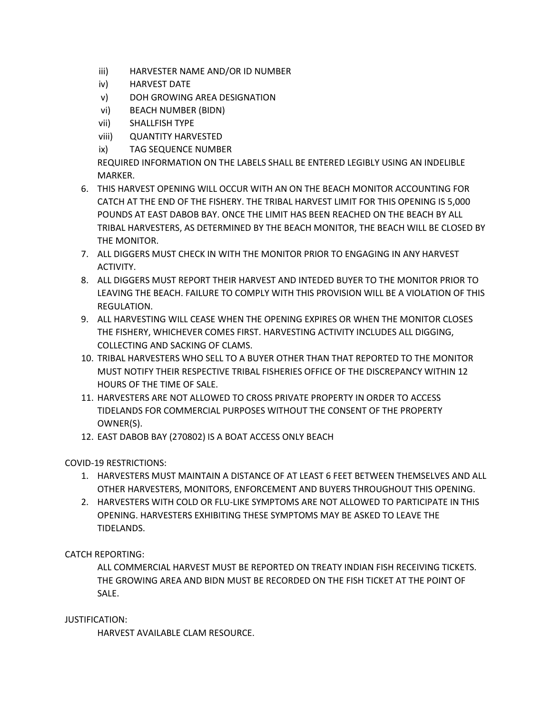- iii) HARVESTER NAME AND/OR ID NUMBER
- iv) HARVEST DATE
- v) DOH GROWING AREA DESIGNATION
- vi) BEACH NUMBER (BIDN)
- vii) SHALLFISH TYPE
- viii) QUANTITY HARVESTED
- ix) TAG SEQUENCE NUMBER

REQUIRED INFORMATION ON THE LABELS SHALL BE ENTERED LEGIBLY USING AN INDELIBLE MARKER.

- 6. THIS HARVEST OPENING WILL OCCUR WITH AN ON THE BEACH MONITOR ACCOUNTING FOR CATCH AT THE END OF THE FISHERY. THE TRIBAL HARVEST LIMIT FOR THIS OPENING IS 5,000 POUNDS AT EAST DABOB BAY. ONCE THE LIMIT HAS BEEN REACHED ON THE BEACH BY ALL TRIBAL HARVESTERS, AS DETERMINED BY THE BEACH MONITOR, THE BEACH WILL BE CLOSED BY THE MONITOR.
- 7. ALL DIGGERS MUST CHECK IN WITH THE MONITOR PRIOR TO ENGAGING IN ANY HARVEST ACTIVITY.
- 8. ALL DIGGERS MUST REPORT THEIR HARVEST AND INTEDED BUYER TO THE MONITOR PRIOR TO LEAVING THE BEACH. FAILURE TO COMPLY WITH THIS PROVISION WILL BE A VIOLATION OF THIS REGULATION.
- 9. ALL HARVESTING WILL CEASE WHEN THE OPENING EXPIRES OR WHEN THE MONITOR CLOSES THE FISHERY, WHICHEVER COMES FIRST. HARVESTING ACTIVITY INCLUDES ALL DIGGING, COLLECTING AND SACKING OF CLAMS.
- 10. TRIBAL HARVESTERS WHO SELL TO A BUYER OTHER THAN THAT REPORTED TO THE MONITOR MUST NOTIFY THEIR RESPECTIVE TRIBAL FISHERIES OFFICE OF THE DISCREPANCY WITHIN 12 HOURS OF THE TIME OF SALE.
- 11. HARVESTERS ARE NOT ALLOWED TO CROSS PRIVATE PROPERTY IN ORDER TO ACCESS TIDELANDS FOR COMMERCIAL PURPOSES WITHOUT THE CONSENT OF THE PROPERTY OWNER(S).
- 12. EAST DABOB BAY (270802) IS A BOAT ACCESS ONLY BEACH

COVID-19 RESTRICTIONS:

- 1. HARVESTERS MUST MAINTAIN A DISTANCE OF AT LEAST 6 FEET BETWEEN THEMSELVES AND ALL OTHER HARVESTERS, MONITORS, ENFORCEMENT AND BUYERS THROUGHOUT THIS OPENING.
- 2. HARVESTERS WITH COLD OR FLU-LIKE SYMPTOMS ARE NOT ALLOWED TO PARTICIPATE IN THIS OPENING. HARVESTERS EXHIBITING THESE SYMPTOMS MAY BE ASKED TO LEAVE THE TIDELANDS.

CATCH REPORTING:

ALL COMMERCIAL HARVEST MUST BE REPORTED ON TREATY INDIAN FISH RECEIVING TICKETS. THE GROWING AREA AND BIDN MUST BE RECORDED ON THE FISH TICKET AT THE POINT OF SALE.

JUSTIFICATION:

HARVEST AVAILABLE CLAM RESOURCE.